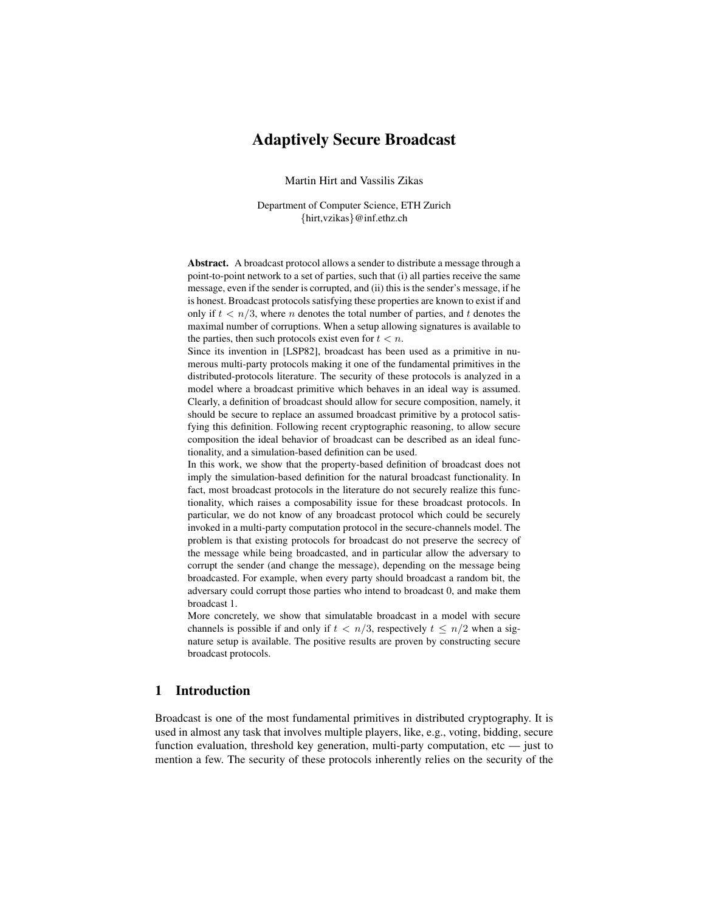# Adaptively Secure Broadcast

Martin Hirt and Vassilis Zikas

Department of Computer Science, ETH Zurich {hirt,vzikas}@inf.ethz.ch

Abstract. A broadcast protocol allows a sender to distribute a message through a point-to-point network to a set of parties, such that (i) all parties receive the same message, even if the sender is corrupted, and (ii) this is the sender's message, if he is honest. Broadcast protocols satisfying these properties are known to exist if and only if  $t < n/3$ , where *n* denotes the total number of parties, and *t* denotes the maximal number of corruptions. When a setup allowing signatures is available to the parties, then such protocols exist even for  $t < n$ .

Since its invention in [LSP82], broadcast has been used as a primitive in numerous multi-party protocols making it one of the fundamental primitives in the distributed-protocols literature. The security of these protocols is analyzed in a model where a broadcast primitive which behaves in an ideal way is assumed. Clearly, a definition of broadcast should allow for secure composition, namely, it should be secure to replace an assumed broadcast primitive by a protocol satisfying this definition. Following recent cryptographic reasoning, to allow secure composition the ideal behavior of broadcast can be described as an ideal functionality, and a simulation-based definition can be used.

In this work, we show that the property-based definition of broadcast does not imply the simulation-based definition for the natural broadcast functionality. In fact, most broadcast protocols in the literature do not securely realize this functionality, which raises a composability issue for these broadcast protocols. In particular, we do not know of any broadcast protocol which could be securely invoked in a multi-party computation protocol in the secure-channels model. The problem is that existing protocols for broadcast do not preserve the secrecy of the message while being broadcasted, and in particular allow the adversary to corrupt the sender (and change the message), depending on the message being broadcasted. For example, when every party should broadcast a random bit, the adversary could corrupt those parties who intend to broadcast 0, and make them broadcast 1.

More concretely, we show that simulatable broadcast in a model with secure channels is possible if and only if  $t < n/3$ , respectively  $t \leq n/2$  when a signature setup is available. The positive results are proven by constructing secure broadcast protocols.

# 1 Introduction

Broadcast is one of the most fundamental primitives in distributed cryptography. It is used in almost any task that involves multiple players, like, e.g., voting, bidding, secure function evaluation, threshold key generation, multi-party computation, etc — just to mention a few. The security of these protocols inherently relies on the security of the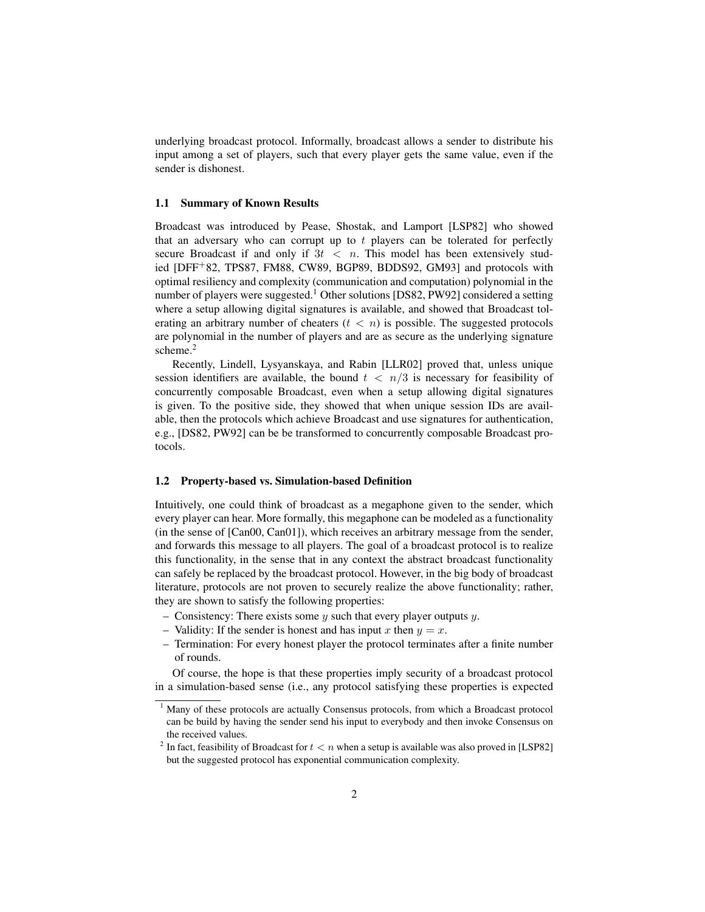underlying broadcast protocol. Informally, broadcast allows a sender to distribute his input among a set of players, such that every player gets the same value, even if the sender is dishonest.

#### 1.1 Summary of Known Results

Broadcast was introduced by Pease, Shostak, and Lamport [LSP82] who showed that an adversary who can corrupt up to  $t$  players can be tolerated for perfectly secure Broadcast if and only if  $3t < n$ . This model has been extensively studied [DFF+82, TPS87, FM88, CW89, BGP89, BDDS92, GM93] and protocols with optimal resiliency and complexity (communication and computation) polynomial in the number of players were suggested.<sup>1</sup> Other solutions [DS82, PW92] considered a setting where a setup allowing digital signatures is available, and showed that Broadcast tolerating an arbitrary number of cheaters  $(t < n)$  is possible. The suggested protocols are polynomial in the number of players and are as secure as the underlying signature scheme.<sup>2</sup>

Recently, Lindell, Lysyanskaya, and Rabin [LLR02] proved that, unless unique session identifiers are available, the bound  $t < n/3$  is necessary for feasibility of concurrently composable Broadcast, even when a setup allowing digital signatures is given. To the positive side, they showed that when unique session IDs are available, then the protocols which achieve Broadcast and use signatures for authentication, e.g., [DS82, PW92] can be be transformed to concurrently composable Broadcast protocols.

## 1.2 Property-based vs. Simulation-based Definition

Intuitively, one could think of broadcast as a megaphone given to the sender, which every player can hear. More formally, this megaphone can be modeled as a functionality (in the sense of [Can00, Can01]), which receives an arbitrary message from the sender, and forwards this message to all players. The goal of a broadcast protocol is to realize this functionality, in the sense that in any context the abstract broadcast functionality can safely be replaced by the broadcast protocol. However, in the big body of broadcast literature, protocols are not proven to securely realize the above functionality; rather, they are shown to satisfy the following properties:

- Consistency: There exists some  $y$  such that every player outputs  $y$ .
- Validity: If the sender is honest and has input x then  $y = x$ .
- Termination: For every honest player the protocol terminates after a finite number of rounds.

Of course, the hope is that these properties imply security of a broadcast protocol in a simulation-based sense (i.e., any protocol satisfying these properties is expected

<sup>&</sup>lt;sup>1</sup> Many of these protocols are actually Consensus protocols, from which a Broadcast protocol can be build by having the sender send his input to everybody and then invoke Consensus on the received values.

<sup>&</sup>lt;sup>2</sup> In fact, feasibility of Broadcast for  $t < n$  when a setup is available was also proved in [LSP82] but the suggested protocol has exponential communication complexity.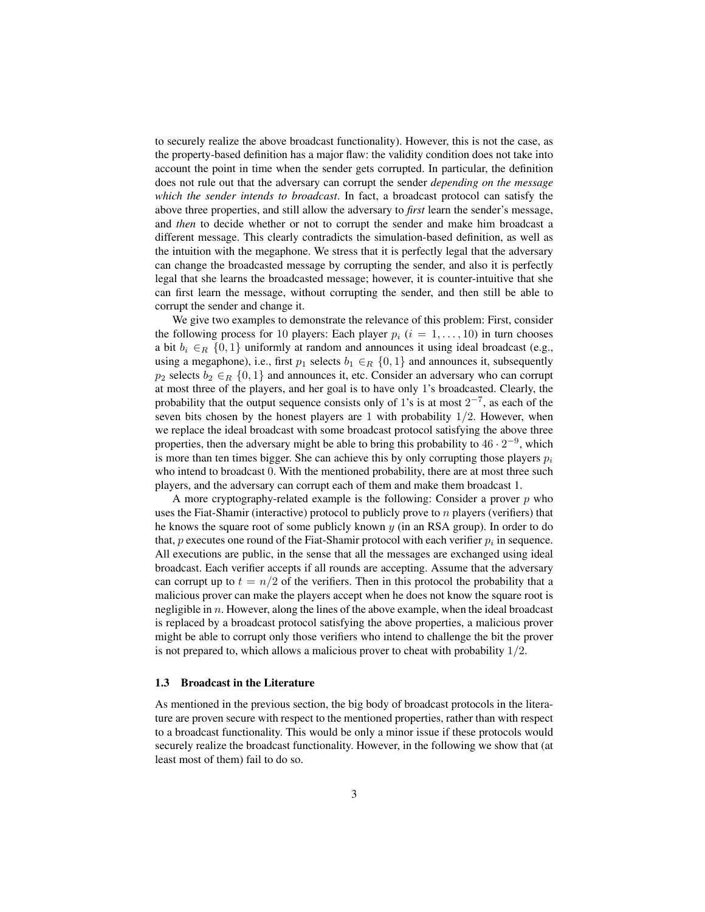to securely realize the above broadcast functionality). However, this is not the case, as the property-based definition has a major flaw: the validity condition does not take into account the point in time when the sender gets corrupted. In particular, the definition does not rule out that the adversary can corrupt the sender *depending on the message which the sender intends to broadcast*. In fact, a broadcast protocol can satisfy the above three properties, and still allow the adversary to *first* learn the sender's message, and *then* to decide whether or not to corrupt the sender and make him broadcast a different message. This clearly contradicts the simulation-based definition, as well as the intuition with the megaphone. We stress that it is perfectly legal that the adversary can change the broadcasted message by corrupting the sender, and also it is perfectly legal that she learns the broadcasted message; however, it is counter-intuitive that she can first learn the message, without corrupting the sender, and then still be able to corrupt the sender and change it.

We give two examples to demonstrate the relevance of this problem: First, consider the following process for 10 players: Each player  $p_i$  ( $i = 1, \ldots, 10$ ) in turn chooses a bit  $b_i \in_R \{0,1\}$  uniformly at random and announces it using ideal broadcast (e.g., using a megaphone), i.e., first  $p_1$  selects  $b_1 \in_R \{0,1\}$  and announces it, subsequently  $p_2$  selects  $b_2 \in_R \{0,1\}$  and announces it, etc. Consider an adversary who can corrupt at most three of the players, and her goal is to have only 1's broadcasted. Clearly, the probability that the output sequence consists only of 1's is at most  $2^{-7}$ , as each of the seven bits chosen by the honest players are 1 with probability  $1/2$ . However, when we replace the ideal broadcast with some broadcast protocol satisfying the above three properties, then the adversary might be able to bring this probability to  $46 \cdot 2^{-9}$ , which is more than ten times bigger. She can achieve this by only corrupting those players  $p_i$ who intend to broadcast 0. With the mentioned probability, there are at most three such players, and the adversary can corrupt each of them and make them broadcast 1.

A more cryptography-related example is the following: Consider a prover  $p$  who uses the Fiat-Shamir (interactive) protocol to publicly prove to  $n$  players (verifiers) that he knows the square root of some publicly known  $y$  (in an RSA group). In order to do that,  $p$  executes one round of the Fiat-Shamir protocol with each verifier  $p_i$  in sequence. All executions are public, in the sense that all the messages are exchanged using ideal broadcast. Each verifier accepts if all rounds are accepting. Assume that the adversary can corrupt up to  $t = n/2$  of the verifiers. Then in this protocol the probability that a malicious prover can make the players accept when he does not know the square root is negligible in n. However, along the lines of the above example, when the ideal broadcast is replaced by a broadcast protocol satisfying the above properties, a malicious prover might be able to corrupt only those verifiers who intend to challenge the bit the prover is not prepared to, which allows a malicious prover to cheat with probability  $1/2$ .

#### 1.3 Broadcast in the Literature

As mentioned in the previous section, the big body of broadcast protocols in the literature are proven secure with respect to the mentioned properties, rather than with respect to a broadcast functionality. This would be only a minor issue if these protocols would securely realize the broadcast functionality. However, in the following we show that (at least most of them) fail to do so.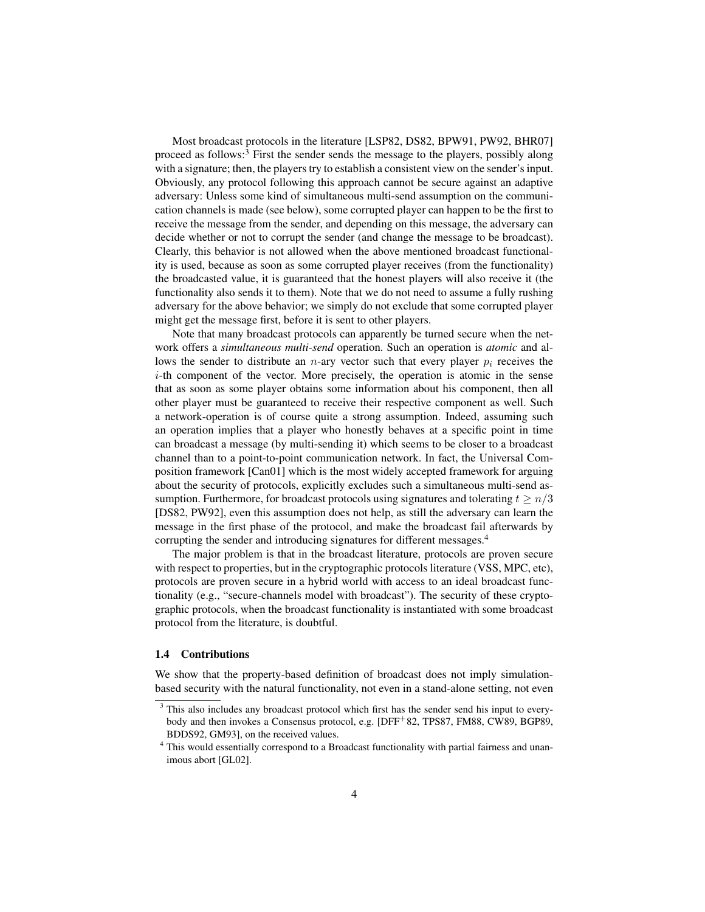Most broadcast protocols in the literature [LSP82, DS82, BPW91, PW92, BHR07] proceed as follows:<sup>3</sup> First the sender sends the message to the players, possibly along with a signature; then, the players try to establish a consistent view on the sender's input. Obviously, any protocol following this approach cannot be secure against an adaptive adversary: Unless some kind of simultaneous multi-send assumption on the communication channels is made (see below), some corrupted player can happen to be the first to receive the message from the sender, and depending on this message, the adversary can decide whether or not to corrupt the sender (and change the message to be broadcast). Clearly, this behavior is not allowed when the above mentioned broadcast functionality is used, because as soon as some corrupted player receives (from the functionality) the broadcasted value, it is guaranteed that the honest players will also receive it (the functionality also sends it to them). Note that we do not need to assume a fully rushing adversary for the above behavior; we simply do not exclude that some corrupted player might get the message first, before it is sent to other players.

Note that many broadcast protocols can apparently be turned secure when the network offers a *simultaneous multi-send* operation. Such an operation is *atomic* and allows the sender to distribute an n-ary vector such that every player  $p_i$  receives the  $i$ -th component of the vector. More precisely, the operation is atomic in the sense that as soon as some player obtains some information about his component, then all other player must be guaranteed to receive their respective component as well. Such a network-operation is of course quite a strong assumption. Indeed, assuming such an operation implies that a player who honestly behaves at a specific point in time can broadcast a message (by multi-sending it) which seems to be closer to a broadcast channel than to a point-to-point communication network. In fact, the Universal Composition framework [Can01] which is the most widely accepted framework for arguing about the security of protocols, explicitly excludes such a simultaneous multi-send assumption. Furthermore, for broadcast protocols using signatures and tolerating  $t \geq n/3$ [DS82, PW92], even this assumption does not help, as still the adversary can learn the message in the first phase of the protocol, and make the broadcast fail afterwards by corrupting the sender and introducing signatures for different messages.<sup>4</sup>

The major problem is that in the broadcast literature, protocols are proven secure with respect to properties, but in the cryptographic protocols literature (VSS, MPC, etc), protocols are proven secure in a hybrid world with access to an ideal broadcast functionality (e.g., "secure-channels model with broadcast"). The security of these cryptographic protocols, when the broadcast functionality is instantiated with some broadcast protocol from the literature, is doubtful.

#### 1.4 Contributions

We show that the property-based definition of broadcast does not imply simulationbased security with the natural functionality, not even in a stand-alone setting, not even

<sup>&</sup>lt;sup>3</sup> This also includes any broadcast protocol which first has the sender send his input to everybody and then invokes a Consensus protocol, e.g. [DFF<sup>+</sup>82, TPS87, FM88, CW89, BGP89, BDDS92, GM93], on the received values.

<sup>&</sup>lt;sup>4</sup> This would essentially correspond to a Broadcast functionality with partial fairness and unanimous abort [GL02].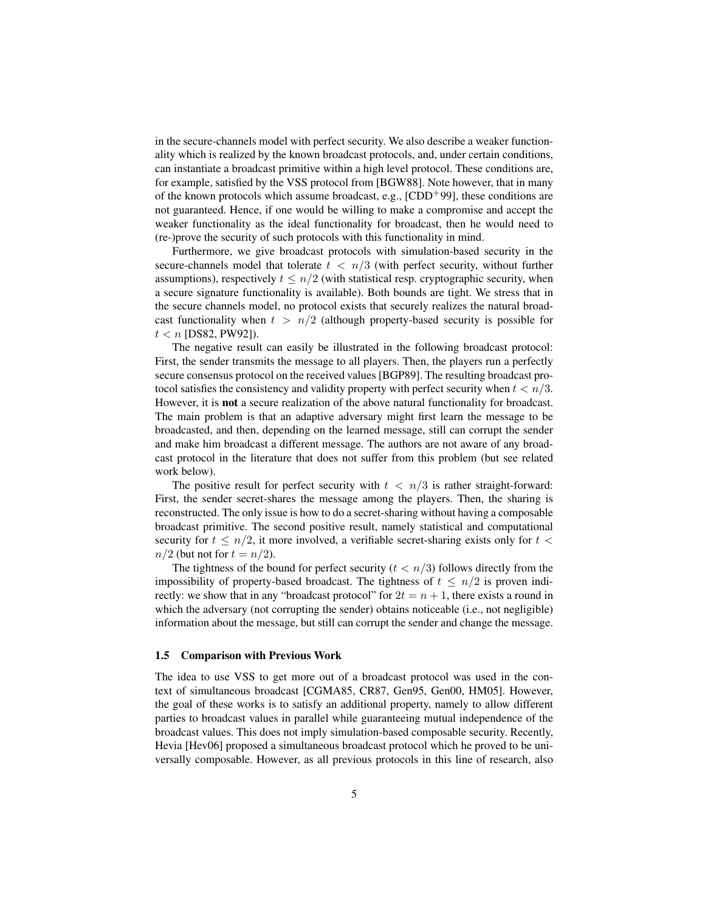in the secure-channels model with perfect security. We also describe a weaker functionality which is realized by the known broadcast protocols, and, under certain conditions, can instantiate a broadcast primitive within a high level protocol. These conditions are, for example, satisfied by the VSS protocol from [BGW88]. Note however, that in many of the known protocols which assume broadcast, e.g.,  $[CDD+99]$ , these conditions are not guaranteed. Hence, if one would be willing to make a compromise and accept the weaker functionality as the ideal functionality for broadcast, then he would need to (re-)prove the security of such protocols with this functionality in mind.

Furthermore, we give broadcast protocols with simulation-based security in the secure-channels model that tolerate  $t < n/3$  (with perfect security, without further assumptions), respectively  $t \leq n/2$  (with statistical resp. cryptographic security, when a secure signature functionality is available). Both bounds are tight. We stress that in the secure channels model, no protocol exists that securely realizes the natural broadcast functionality when  $t > n/2$  (although property-based security is possible for  $t < n$  [DS82, PW92]).

The negative result can easily be illustrated in the following broadcast protocol: First, the sender transmits the message to all players. Then, the players run a perfectly secure consensus protocol on the received values [BGP89]. The resulting broadcast proto total satisfies the consistency and validity property with perfect security when  $t < n/3$ . However, it is not a secure realization of the above natural functionality for broadcast. The main problem is that an adaptive adversary might first learn the message to be broadcasted, and then, depending on the learned message, still can corrupt the sender and make him broadcast a different message. The authors are not aware of any broadcast protocol in the literature that does not suffer from this problem (but see related work below).

The positive result for perfect security with  $t < n/3$  is rather straight-forward: First, the sender secret-shares the message among the players. Then, the sharing is reconstructed. The only issue is how to do a secret-sharing without having a composable broadcast primitive. The second positive result, namely statistical and computational security for  $t \le n/2$ , it more involved, a verifiable secret-sharing exists only for  $t \le$  $n/2$  (but not for  $t = n/2$ ).

The tightness of the bound for perfect security ( $t < n/3$ ) follows directly from the impossibility of property-based broadcast. The tightness of  $t \leq n/2$  is proven indirectly: we show that in any "broadcast protocol" for  $2t = n + 1$ , there exists a round in which the adversary (not corrupting the sender) obtains noticeable (i.e., not negligible) information about the message, but still can corrupt the sender and change the message.

#### 1.5 Comparison with Previous Work

The idea to use VSS to get more out of a broadcast protocol was used in the context of simultaneous broadcast [CGMA85, CR87, Gen95, Gen00, HM05]. However, the goal of these works is to satisfy an additional property, namely to allow different parties to broadcast values in parallel while guaranteeing mutual independence of the broadcast values. This does not imply simulation-based composable security. Recently, Hevia [Hev06] proposed a simultaneous broadcast protocol which he proved to be universally composable. However, as all previous protocols in this line of research, also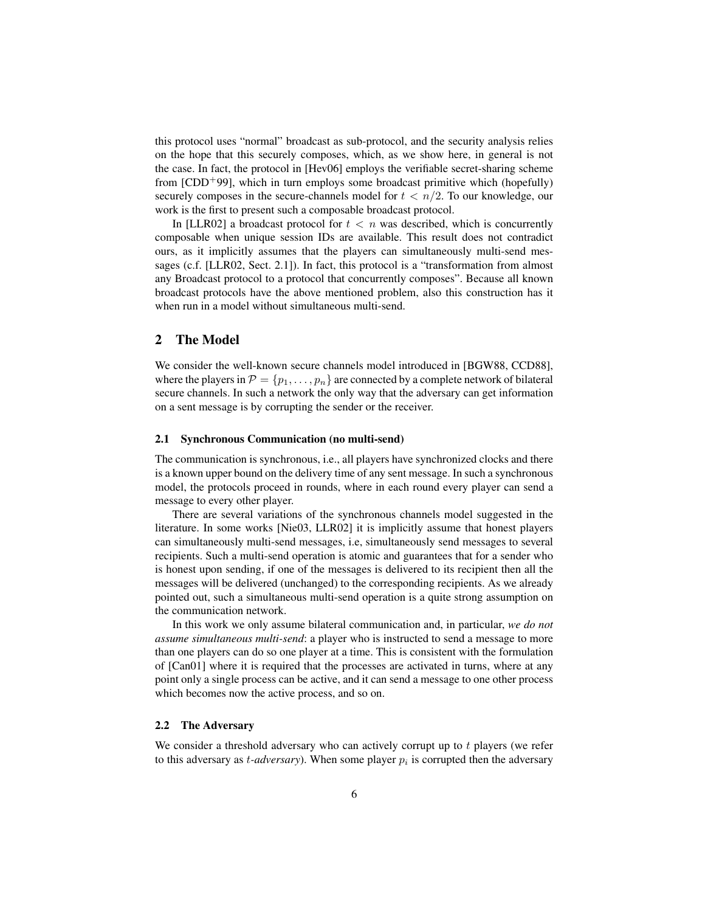this protocol uses "normal" broadcast as sub-protocol, and the security analysis relies on the hope that this securely composes, which, as we show here, in general is not the case. In fact, the protocol in [Hev06] employs the verifiable secret-sharing scheme from  $[CDD+99]$ , which in turn employs some broadcast primitive which (hopefully) securely composes in the secure-channels model for  $t < n/2$ . To our knowledge, our work is the first to present such a composable broadcast protocol.

In [LLR02] a broadcast protocol for  $t < n$  was described, which is concurrently composable when unique session IDs are available. This result does not contradict ours, as it implicitly assumes that the players can simultaneously multi-send messages (c.f. [LLR02, Sect. 2.1]). In fact, this protocol is a "transformation from almost any Broadcast protocol to a protocol that concurrently composes". Because all known broadcast protocols have the above mentioned problem, also this construction has it when run in a model without simultaneous multi-send.

## 2 The Model

We consider the well-known secure channels model introduced in [BGW88, CCD88], where the players in  $P = \{p_1, \ldots, p_n\}$  are connected by a complete network of bilateral secure channels. In such a network the only way that the adversary can get information on a sent message is by corrupting the sender or the receiver.

#### 2.1 Synchronous Communication (no multi-send)

The communication is synchronous, i.e., all players have synchronized clocks and there is a known upper bound on the delivery time of any sent message. In such a synchronous model, the protocols proceed in rounds, where in each round every player can send a message to every other player.

There are several variations of the synchronous channels model suggested in the literature. In some works [Nie03, LLR02] it is implicitly assume that honest players can simultaneously multi-send messages, i.e, simultaneously send messages to several recipients. Such a multi-send operation is atomic and guarantees that for a sender who is honest upon sending, if one of the messages is delivered to its recipient then all the messages will be delivered (unchanged) to the corresponding recipients. As we already pointed out, such a simultaneous multi-send operation is a quite strong assumption on the communication network.

In this work we only assume bilateral communication and, in particular, *we do not assume simultaneous multi-send*: a player who is instructed to send a message to more than one players can do so one player at a time. This is consistent with the formulation of [Can01] where it is required that the processes are activated in turns, where at any point only a single process can be active, and it can send a message to one other process which becomes now the active process, and so on.

#### 2.2 The Adversary

We consider a threshold adversary who can actively corrupt up to  $t$  players (we refer to this adversary as  $t$ -*adversary*). When some player  $p_i$  is corrupted then the adversary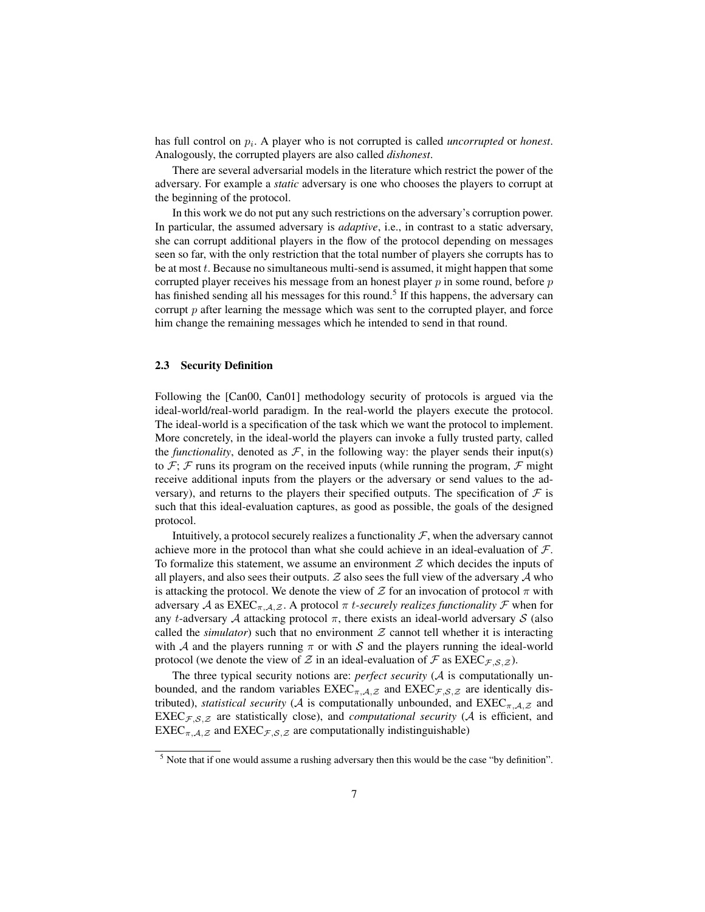has full control on  $p_i$ . A player who is not corrupted is called *uncorrupted* or *honest*. Analogously, the corrupted players are also called *dishonest*.

There are several adversarial models in the literature which restrict the power of the adversary. For example a *static* adversary is one who chooses the players to corrupt at the beginning of the protocol.

In this work we do not put any such restrictions on the adversary's corruption power. In particular, the assumed adversary is *adaptive*, i.e., in contrast to a static adversary, she can corrupt additional players in the flow of the protocol depending on messages seen so far, with the only restriction that the total number of players she corrupts has to be at most t. Because no simultaneous multi-send is assumed, it might happen that some corrupted player receives his message from an honest player  $p$  in some round, before  $p$ has finished sending all his messages for this round.<sup>5</sup> If this happens, the adversary can corrupt  $p$  after learning the message which was sent to the corrupted player, and force him change the remaining messages which he intended to send in that round.

## 2.3 Security Definition

Following the [Can00, Can01] methodology security of protocols is argued via the ideal-world/real-world paradigm. In the real-world the players execute the protocol. The ideal-world is a specification of the task which we want the protocol to implement. More concretely, in the ideal-world the players can invoke a fully trusted party, called the *functionality*, denoted as  $\mathcal{F}$ , in the following way: the player sends their input(s) to  $\mathcal{F}; \mathcal{F}$  runs its program on the received inputs (while running the program,  $\mathcal{F}$  might receive additional inputs from the players or the adversary or send values to the adversary), and returns to the players their specified outputs. The specification of  $\mathcal F$  is such that this ideal-evaluation captures, as good as possible, the goals of the designed protocol.

Intuitively, a protocol securely realizes a functionality  $F$ , when the adversary cannot achieve more in the protocol than what she could achieve in an ideal-evaluation of  $\mathcal{F}$ . To formalize this statement, we assume an environment  $Z$  which decides the inputs of all players, and also sees their outputs.  $Z$  also sees the full view of the adversary  $A$  who is attacking the protocol. We denote the view of  $\mathcal Z$  for an invocation of protocol  $\pi$  with adversary A as  $\text{EXEC}_{\pi,\mathcal{A},\mathcal{Z}}$ . A protocol  $\pi$  *t-securely realizes functionality* F when for any t-adversary A attacking protocol  $\pi$ , there exists an ideal-world adversary S (also called the *simulator*) such that no environment  $Z$  cannot tell whether it is interacting with A and the players running  $\pi$  or with S and the players running the ideal-world protocol (we denote the view of  $\mathcal Z$  in an ideal-evaluation of  $\mathcal F$  as  $\text{EXEC}_{\mathcal F, \mathcal S, \mathcal Z}$ ).

The three typical security notions are: *perfect security* (A is computationally unbounded, and the random variables  $\text{EXEC}_{\pi,\mathcal{A},\mathcal{Z}}$  and  $\text{EXEC}_{\mathcal{F},\mathcal{S},\mathcal{Z}}$  are identically distributed), *statistical security* ( $A$  is computationally unbounded, and  $EXEC_{\pi,A,Z}$  and  $EXEC_{\mathcal{F},S,Z}$  are statistically close), and *computational security* (A is efficient, and  $\text{EXEC}_{\pi,\mathcal{A},\mathcal{Z}}$  and  $\text{EXEC}_{\mathcal{F},\mathcal{S},\mathcal{Z}}$  are computationally indistinguishable)

<sup>&</sup>lt;sup>5</sup> Note that if one would assume a rushing adversary then this would be the case "by definition".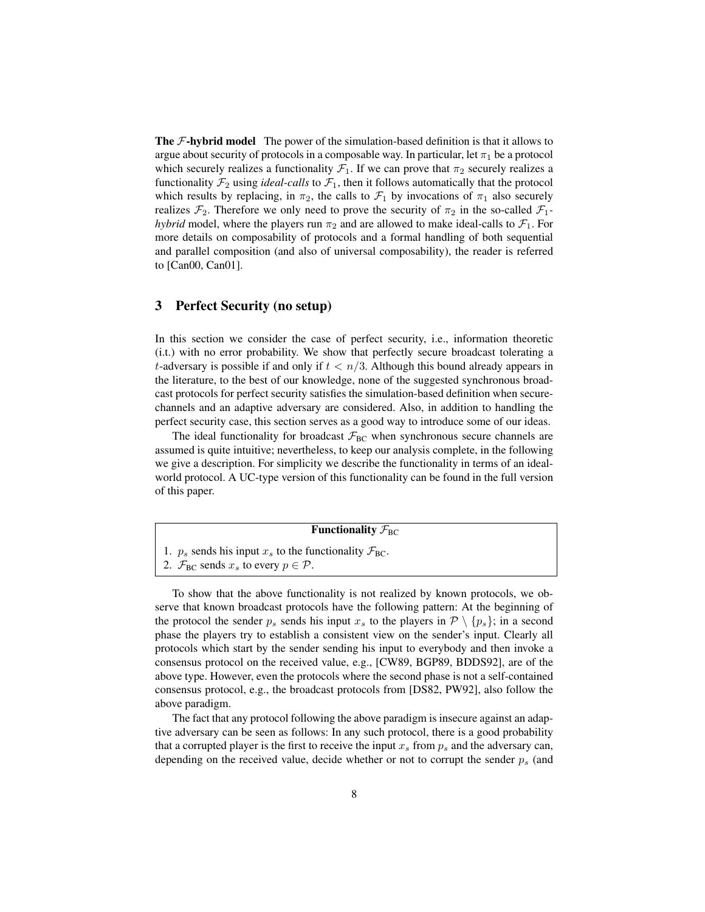**The**  $\mathcal{F}$ **-hybrid model** The power of the simulation-based definition is that it allows to argue about security of protocols in a composable way. In particular, let  $\pi_1$  be a protocol which securely realizes a functionality  $\mathcal{F}_1$ . If we can prove that  $\pi_2$  securely realizes a functionality  $\mathcal{F}_2$  using *ideal-calls* to  $\mathcal{F}_1$ , then it follows automatically that the protocol which results by replacing, in  $\pi_2$ , the calls to  $\mathcal{F}_1$  by invocations of  $\pi_1$  also securely realizes  $\mathcal{F}_2$ . Therefore we only need to prove the security of  $\pi_2$  in the so-called  $\mathcal{F}_1$ *hybrid* model, where the players run  $\pi_2$  and are allowed to make ideal-calls to  $\mathcal{F}_1$ . For more details on composability of protocols and a formal handling of both sequential and parallel composition (and also of universal composability), the reader is referred to [Can00, Can01].

## 3 Perfect Security (no setup)

In this section we consider the case of perfect security, i.e., information theoretic (i.t.) with no error probability. We show that perfectly secure broadcast tolerating a t-adversary is possible if and only if  $t < n/3$ . Although this bound already appears in the literature, to the best of our knowledge, none of the suggested synchronous broadcast protocols for perfect security satisfies the simulation-based definition when securechannels and an adaptive adversary are considered. Also, in addition to handling the perfect security case, this section serves as a good way to introduce some of our ideas.

The ideal functionality for broadcast  $\mathcal{F}_{BC}$  when synchronous secure channels are assumed is quite intuitive; nevertheless, to keep our analysis complete, in the following we give a description. For simplicity we describe the functionality in terms of an idealworld protocol. A UC-type version of this functionality can be found in the full version of this paper.

Functionality  $\mathcal{F}_{BC}$ 

1.  $p_s$  sends his input  $x_s$  to the functionality  $\mathcal{F}_{BC}$ . 2.  $\mathcal{F}_{\text{BC}}$  sends  $x_s$  to every  $p \in \mathcal{P}$ .

above paradigm.

To show that the above functionality is not realized by known protocols, we observe that known broadcast protocols have the following pattern: At the beginning of the protocol the sender  $p_s$  sends his input  $x_s$  to the players in  $\mathcal{P} \setminus \{p_s\}$ ; in a second phase the players try to establish a consistent view on the sender's input. Clearly all protocols which start by the sender sending his input to everybody and then invoke a consensus protocol on the received value, e.g., [CW89, BGP89, BDDS92], are of the above type. However, even the protocols where the second phase is not a self-contained consensus protocol, e.g., the broadcast protocols from [DS82, PW92], also follow the

The fact that any protocol following the above paradigm is insecure against an adaptive adversary can be seen as follows: In any such protocol, there is a good probability that a corrupted player is the first to receive the input  $x_s$  from  $p_s$  and the adversary can, depending on the received value, decide whether or not to corrupt the sender  $p_s$  (and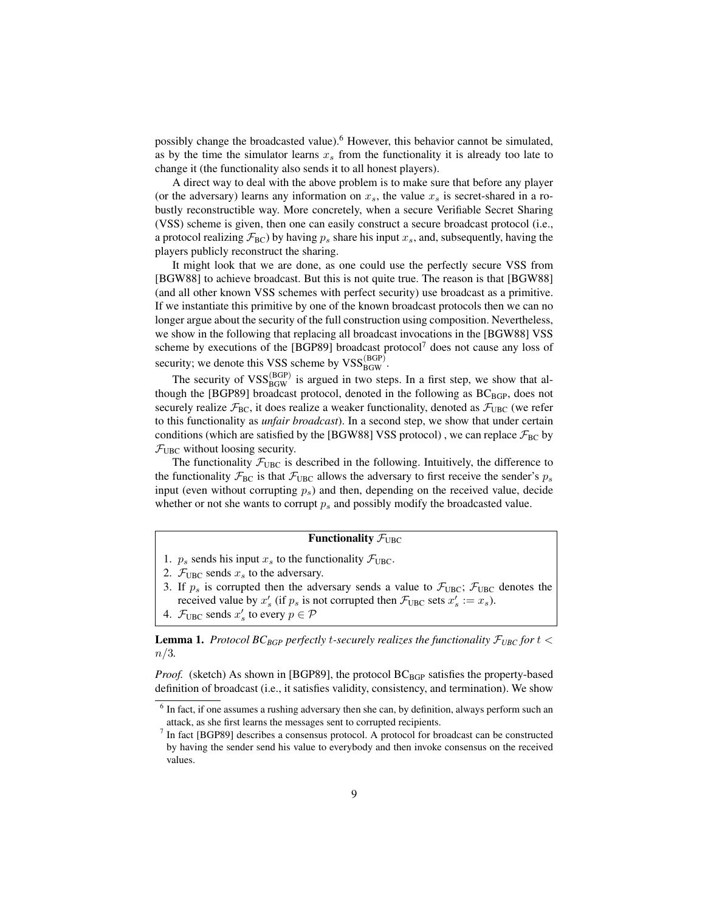possibly change the broadcasted value).<sup>6</sup> However, this behavior cannot be simulated, as by the time the simulator learns  $x<sub>s</sub>$  from the functionality it is already too late to change it (the functionality also sends it to all honest players).

A direct way to deal with the above problem is to make sure that before any player (or the adversary) learns any information on  $x_s$ , the value  $x_s$  is secret-shared in a robustly reconstructible way. More concretely, when a secure Verifiable Secret Sharing (VSS) scheme is given, then one can easily construct a secure broadcast protocol (i.e., a protocol realizing  $\mathcal{F}_{BC}$ ) by having  $p_s$  share his input  $x_s$ , and, subsequently, having the players publicly reconstruct the sharing.

It might look that we are done, as one could use the perfectly secure VSS from [BGW88] to achieve broadcast. But this is not quite true. The reason is that [BGW88] (and all other known VSS schemes with perfect security) use broadcast as a primitive. If we instantiate this primitive by one of the known broadcast protocols then we can no longer argue about the security of the full construction using composition. Nevertheless, we show in the following that replacing all broadcast invocations in the [BGW88] VSS scheme by executions of the [BGP89] broadcast protocol<sup>7</sup> does not cause any loss of security; we denote this VSS scheme by  $VSS_{\text{BGW}}^{(\text{BGP})}$ .

The security of  $VSS_{BGW}^{(BGP)}$  is argued in two steps. In a first step, we show that although the [BGP89] broadcast protocol, denoted in the following as  $BC_{BGP}$ , does not securely realize  $\mathcal{F}_{BC}$ , it does realize a weaker functionality, denoted as  $\mathcal{F}_{UBC}$  (we refer to this functionality as *unfair broadcast*). In a second step, we show that under certain conditions (which are satisfied by the [BGW88] VSS protocol), we can replace  $\mathcal{F}_{BC}$  by  $\mathcal{F}_{\text{UBC}}$  without loosing security.

The functionality  $\mathcal{F}_{\text{UBC}}$  is described in the following. Intuitively, the difference to the functionality  $\mathcal{F}_{BC}$  is that  $\mathcal{F}_{UBC}$  allows the adversary to first receive the sender's  $p_s$ input (even without corrupting  $p<sub>s</sub>$ ) and then, depending on the received value, decide whether or not she wants to corrupt  $p_s$  and possibly modify the broadcasted value.

# **Functionality**  $\mathcal{F}_{\text{IIBC}}$

- 1.  $p_s$  sends his input  $x_s$  to the functionality  $\mathcal{F}_{\text{UBC}}$ .
- 2.  $\mathcal{F}_{UBC}$  sends  $x_s$  to the adversary.
- 3. If  $p_s$  is corrupted then the adversary sends a value to  $\mathcal{F}_{UBC}$ ;  $\mathcal{F}_{UBC}$  denotes the received value by  $x'_s$  (if  $p_s$  is not corrupted then  $\mathcal{F}_{UBC}$  sets  $x'_s := x_s$ ).
- 4.  $\mathcal{F}_{UBC}$  sends  $x'_{s}$  to every  $p \in \mathcal{P}$

**Lemma 1.** Protocol BC<sub>BGP</sub> perfectly *t*-securely realizes the functionality  $\mathcal{F}_{UBC}$  for  $t <$ n/3*.*

*Proof.* (sketch) As shown in [BGP89], the protocol  $BC_{\text{BGP}}$  satisfies the property-based definition of broadcast (i.e., it satisfies validity, consistency, and termination). We show

 $6$  In fact, if one assumes a rushing adversary then she can, by definition, always perform such an attack, as she first learns the messages sent to corrupted recipients.

 $<sup>7</sup>$  In fact [BGP89] describes a consensus protocol. A protocol for broadcast can be constructed</sup> by having the sender send his value to everybody and then invoke consensus on the received values.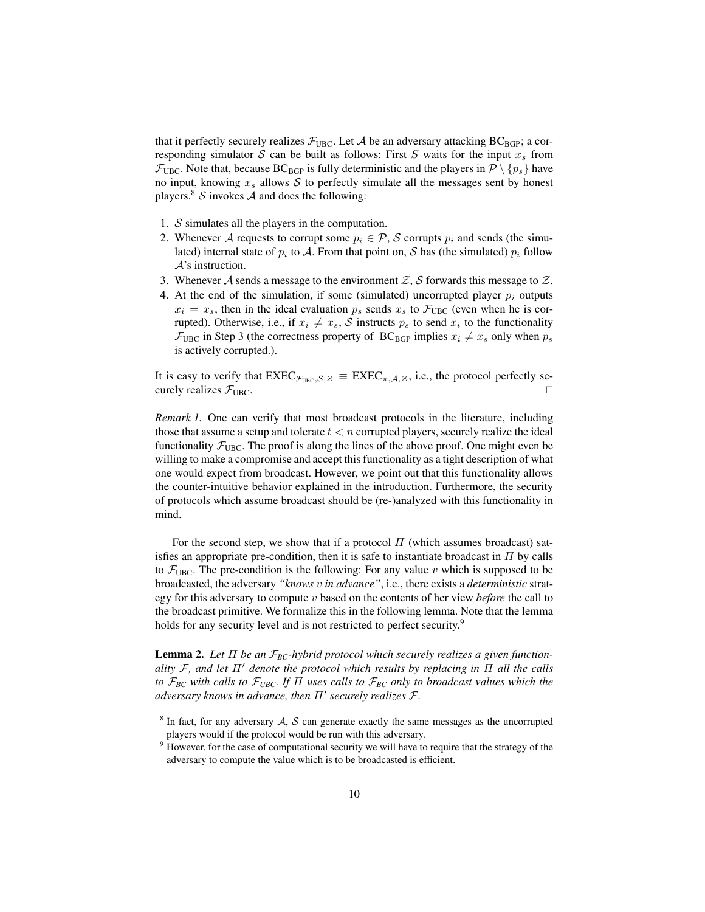that it perfectly securely realizes  $\mathcal{F}_{UBC}$ . Let A be an adversary attacking BC<sub>BGP</sub>; a corresponding simulator S can be built as follows: First S waits for the input  $x_s$  from  $\mathcal{F}_{UBC}$ . Note that, because BC<sub>BGP</sub> is fully deterministic and the players in  $\mathcal{P} \setminus \{p_s\}$  have no input, knowing  $x_s$  allows  $S$  to perfectly simulate all the messages sent by honest players.<sup>8</sup> S invokes A and does the following:

- 1. S simulates all the players in the computation.
- 2. Whenever A requests to corrupt some  $p_i \in \mathcal{P}, \mathcal{S}$  corrupts  $p_i$  and sends (the simulated) internal state of  $p_i$  to A. From that point on, S has (the simulated)  $p_i$  follow A's instruction.
- 3. Whenever A sends a message to the environment  $\mathcal{Z}, \mathcal{S}$  forwards this message to  $\mathcal{Z}$ .
- 4. At the end of the simulation, if some (simulated) uncorrupted player  $p_i$  outputs  $x_i = x_s$ , then in the ideal evaluation  $p_s$  sends  $x_s$  to  $\mathcal{F}_{UBC}$  (even when he is corrupted). Otherwise, i.e., if  $x_i \neq x_s$ , S instructs  $p_s$  to send  $x_i$  to the functionality  $\mathcal{F}_{\text{UBC}}$  in Step 3 (the correctness property of BC<sub>BGP</sub> implies  $x_i \neq x_s$  only when  $p_s$ is actively corrupted.).

It is easy to verify that  $\text{EXEC}_{\mathcal{F}_{\text{UBC}},\mathcal{S},\mathcal{Z}} \equiv \text{EXEC}_{\pi,\mathcal{A},\mathcal{Z}}$ , i.e., the protocol perfectly securely realizes  $\mathcal{F}_{\text{UBC}}$ .

*Remark 1.* One can verify that most broadcast protocols in the literature, including those that assume a setup and tolerate  $t < n$  corrupted players, securely realize the ideal functionality  $\mathcal{F}_{\text{UBC}}$ . The proof is along the lines of the above proof. One might even be willing to make a compromise and accept this functionality as a tight description of what one would expect from broadcast. However, we point out that this functionality allows the counter-intuitive behavior explained in the introduction. Furthermore, the security of protocols which assume broadcast should be (re-)analyzed with this functionality in mind.

For the second step, we show that if a protocol  $\Pi$  (which assumes broadcast) satisfies an appropriate pre-condition, then it is safe to instantiate broadcast in  $\Pi$  by calls to  $\mathcal{F}_{\text{UBC}}$ . The pre-condition is the following: For any value v which is supposed to be broadcasted, the adversary *"knows* v *in advance"*, i.e., there exists a *deterministic* strategy for this adversary to compute v based on the contents of her view *before* the call to the broadcast primitive. We formalize this in the following lemma. Note that the lemma holds for any security level and is not restricted to perfect security.<sup>9</sup>

**Lemma 2.** Let  $\Pi$  be an  $\mathcal{F}_{BC}$ -hybrid protocol which securely realizes a given function*ality* F, and let  $\Pi'$  denote the protocol which results by replacing in  $\Pi$  all the calls *to* F*BC with calls to* F*UBC. If* Π *uses calls to* F*BC only to broadcast values which the*  $adversary$  knows in advance, then  $\Pi'$  securely realizes  ${\cal F}.$ 

 $8$  In fact, for any adversary A, S can generate exactly the same messages as the uncorrupted players would if the protocol would be run with this adversary.

<sup>&</sup>lt;sup>9</sup> However, for the case of computational security we will have to require that the strategy of the adversary to compute the value which is to be broadcasted is efficient.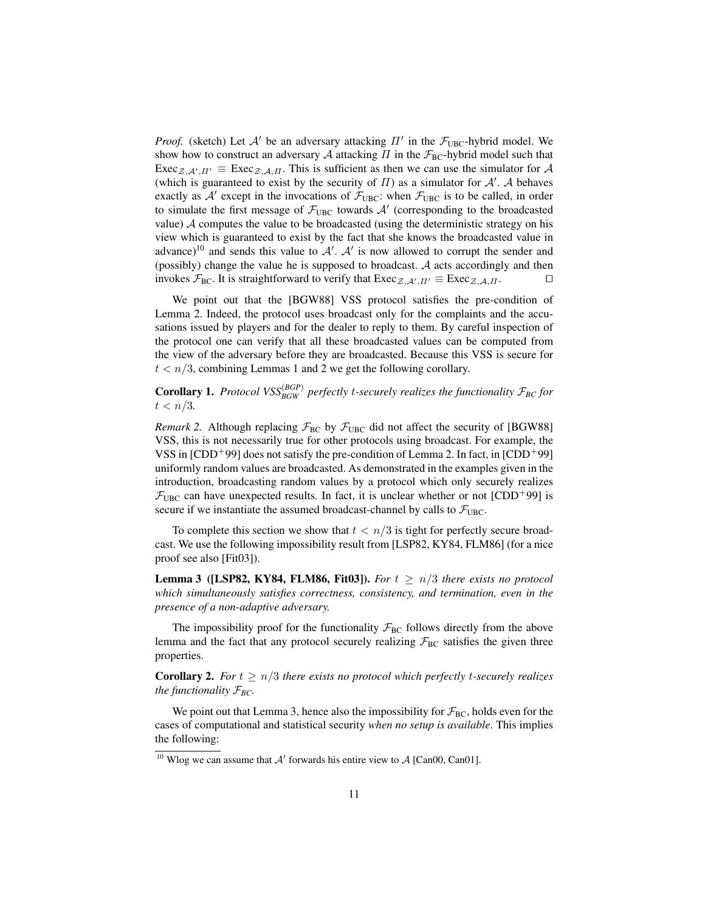*Proof.* (sketch) Let  $A'$  be an adversary attacking  $\Pi'$  in the  $\mathcal{F}_{UBC}$ -hybrid model. We show how to construct an adversary A attacking  $\Pi$  in the  $\mathcal{F}_{BC}$ -hybrid model such that Exec  $z, A', \Pi' \equiv \text{Exec}_{z, A, \Pi}$ . This is sufficient as then we can use the simulator for A (which is guaranteed to exist by the security of  $\Pi$ ) as a simulator for  $\mathcal{A}'$ . A behaves exactly as  $A'$  except in the invocations of  $\mathcal{F}_{UBC}$ : when  $\mathcal{F}_{UBC}$  is to be called, in order to simulate the first message of  $\mathcal{F}_{\text{UBC}}$  towards  $\mathcal{A}'$  (corresponding to the broadcasted value) A computes the value to be broadcasted (using the deterministic strategy on his view which is guaranteed to exist by the fact that she knows the broadcasted value in advance)<sup>10</sup> and sends this value to  $A'$ .  $A'$  is now allowed to corrupt the sender and (possibly) change the value he is supposed to broadcast. A acts accordingly and then invokes  $\mathcal{F}_{BC}$ . It is straightforward to verify that  $\text{Exec}_{\mathcal{Z},\mathcal{A}',\Pi'} \equiv \text{Exec}_{\mathcal{Z},\mathcal{A},\Pi}$ .

We point out that the [BGW88] VSS protocol satisfies the pre-condition of Lemma 2. Indeed, the protocol uses broadcast only for the complaints and the accusations issued by players and for the dealer to reply to them. By careful inspection of the protocol one can verify that all these broadcasted values can be computed from the view of the adversary before they are broadcasted. Because this VSS is secure for  $t < n/3$ , combining Lemmas 1 and 2 we get the following corollary.

**Corollary 1.** Protocol VSS $_{BGW}^{(BGP)}$  perfectly t-securely realizes the functionality  $\mathcal{F}_{BC}$  for  $t < n/3$ .

*Remark 2.* Although replacing  $\mathcal{F}_{BC}$  by  $\mathcal{F}_{UBC}$  did not affect the security of [BGW88] VSS, this is not necessarily true for other protocols using broadcast. For example, the VSS in  $[CDD+99]$  does not satisfy the pre-condition of Lemma 2. In fact, in  $[CDD+99]$ uniformly random values are broadcasted. As demonstrated in the examples given in the introduction, broadcasting random values by a protocol which only securely realizes  $\mathcal{F}_{\text{UBC}}$  can have unexpected results. In fact, it is unclear whether or not [CDD<sup>+</sup>99] is secure if we instantiate the assumed broadcast-channel by calls to  $\mathcal{F}_{\text{UBC}}$ .

To complete this section we show that  $t < n/3$  is tight for perfectly secure broadcast. We use the following impossibility result from [LSP82, KY84, FLM86] (for a nice proof see also [Fit03]).

**Lemma 3** ([LSP82, KY84, FLM86, Fit03]). *For*  $t \geq n/3$  *there exists no protocol which simultaneously satisfies correctness, consistency, and termination, even in the presence of a non-adaptive adversary.*

The impossibility proof for the functionality  $\mathcal{F}_{BC}$  follows directly from the above lemma and the fact that any protocol securely realizing  $\mathcal{F}_{BC}$  satisfies the given three properties.

**Corollary 2.** *For*  $t \geq n/3$  *there exists no protocol which perfectly t-securely realizes the functionality*  $\mathcal{F}_{BC}$ *.* 

We point out that Lemma 3, hence also the impossibility for  $\mathcal{F}_{BC}$ , holds even for the cases of computational and statistical security *when no setup is available*. This implies the following:

<sup>&</sup>lt;sup>10</sup> Wlog we can assume that  $A'$  forwards his entire view to  $A$  [Can00, Can01].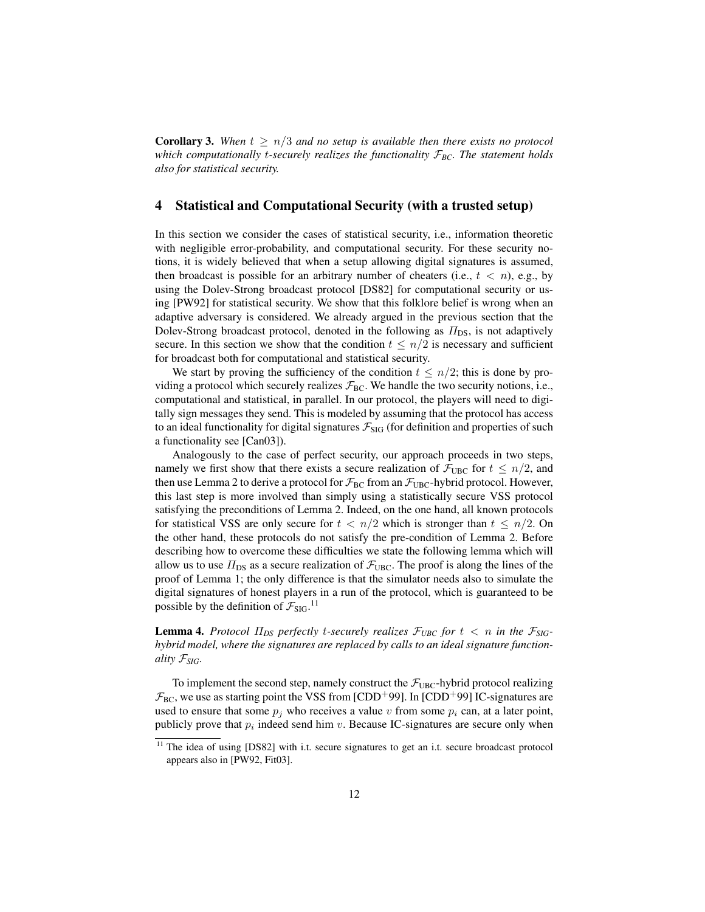**Corollary 3.** When  $t \geq n/3$  and no setup is available then there exists no protocol *which computationally* t*-securely realizes the functionality* F*BC. The statement holds also for statistical security.*

## 4 Statistical and Computational Security (with a trusted setup)

In this section we consider the cases of statistical security, i.e., information theoretic with negligible error-probability, and computational security. For these security notions, it is widely believed that when a setup allowing digital signatures is assumed, then broadcast is possible for an arbitrary number of cheaters (i.e.,  $t < n$ ), e.g., by using the Dolev-Strong broadcast protocol [DS82] for computational security or using [PW92] for statistical security. We show that this folklore belief is wrong when an adaptive adversary is considered. We already argued in the previous section that the Dolev-Strong broadcast protocol, denoted in the following as  $\Pi_{\text{DS}}$ , is not adaptively secure. In this section we show that the condition  $t \leq n/2$  is necessary and sufficient for broadcast both for computational and statistical security.

We start by proving the sufficiency of the condition  $t \leq n/2$ ; this is done by providing a protocol which securely realizes  $\mathcal{F}_{BC}$ . We handle the two security notions, i.e., computational and statistical, in parallel. In our protocol, the players will need to digitally sign messages they send. This is modeled by assuming that the protocol has access to an ideal functionality for digital signatures  $\mathcal{F}_{\text{SIG}}$  (for definition and properties of such a functionality see [Can03]).

Analogously to the case of perfect security, our approach proceeds in two steps, namely we first show that there exists a secure realization of  $\mathcal{F}_{\text{UBC}}$  for  $t \leq n/2$ , and then use Lemma 2 to derive a protocol for  $\mathcal{F}_{BC}$  from an  $\mathcal{F}_{UBC}$ -hybrid protocol. However, this last step is more involved than simply using a statistically secure VSS protocol satisfying the preconditions of Lemma 2. Indeed, on the one hand, all known protocols for statistical VSS are only secure for  $t < n/2$  which is stronger than  $t \leq n/2$ . On the other hand, these protocols do not satisfy the pre-condition of Lemma 2. Before describing how to overcome these difficulties we state the following lemma which will allow us to use  $\Pi_{DS}$  as a secure realization of  $\mathcal{F}_{UBC}$ . The proof is along the lines of the proof of Lemma 1; the only difference is that the simulator needs also to simulate the digital signatures of honest players in a run of the protocol, which is guaranteed to be possible by the definition of  $\mathcal{F}_{\text{SIG}}$ .<sup>11</sup>

**Lemma 4.** Protocol  $\Pi_{DS}$  perfectly t-securely realizes  $\mathcal{F}_{UBC}$  for  $t < n$  in the  $\mathcal{F}_{SIG}$ *hybrid model, where the signatures are replaced by calls to an ideal signature functionality* F*SIG.*

To implement the second step, namely construct the  $\mathcal{F}_{\text{UBC}}$ -hybrid protocol realizing  $\mathcal{F}_{BC}$ , we use as starting point the VSS from [CDD<sup>+99</sup>]. In [CDD<sup>+99</sup>] IC-signatures are used to ensure that some  $p_i$  who receives a value v from some  $p_i$  can, at a later point, publicly prove that  $p_i$  indeed send him v. Because IC-signatures are secure only when

<sup>&</sup>lt;sup>11</sup> The idea of using [DS82] with i.t. secure signatures to get an i.t. secure broadcast protocol appears also in [PW92, Fit03].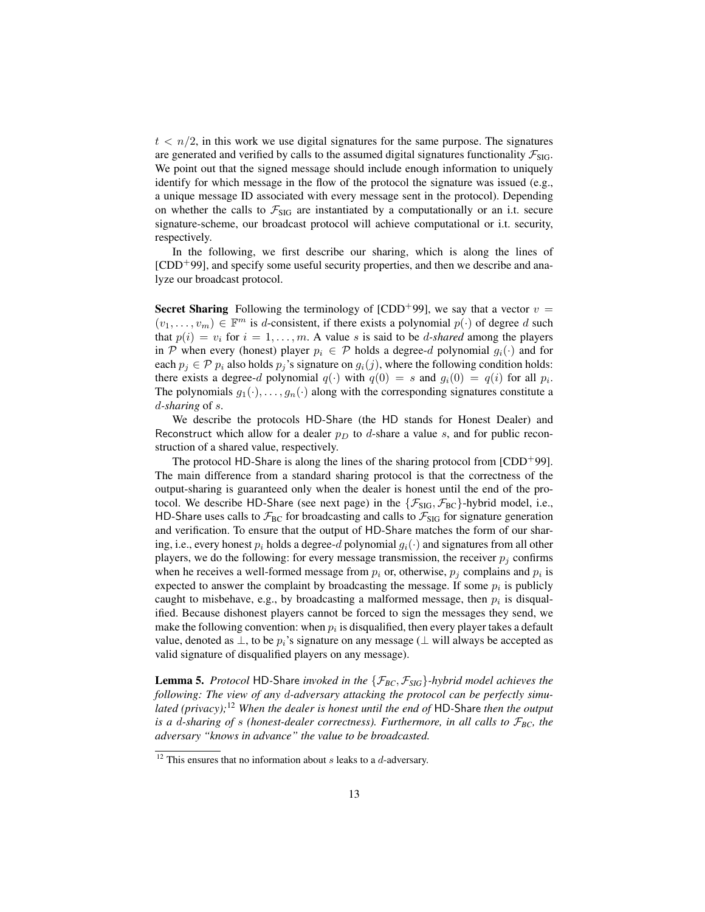$t < n/2$ , in this work we use digital signatures for the same purpose. The signatures are generated and verified by calls to the assumed digital signatures functionality  $\mathcal{F}_{\text{SIG}}$ . We point out that the signed message should include enough information to uniquely identify for which message in the flow of the protocol the signature was issued (e.g., a unique message ID associated with every message sent in the protocol). Depending on whether the calls to  $\mathcal{F}_{\text{SIG}}$  are instantiated by a computationally or an i.t. secure signature-scheme, our broadcast protocol will achieve computational or i.t. security, respectively.

In the following, we first describe our sharing, which is along the lines of  $[CDD+99]$ , and specify some useful security properties, and then we describe and analyze our broadcast protocol.

Secret Sharing Following the terminology of  $[CDD+99]$ , we say that a vector  $v =$  $(v_1, \ldots, v_m) \in \mathbb{F}^m$  is d-consistent, if there exists a polynomial  $p(\cdot)$  of degree d such that  $p(i) = v_i$  for  $i = 1, \ldots, m$ . A value s is said to be *d*-shared among the players in P when every (honest) player  $p_i \in \mathcal{P}$  holds a degree-d polynomial  $g_i(\cdot)$  and for each  $p_i \in \mathcal{P}$   $p_i$  also holds  $p_j$ 's signature on  $g_i(j)$ , where the following condition holds: there exists a degree-d polynomial  $q(\cdot)$  with  $q(0) = s$  and  $g_i(0) = q(i)$  for all  $p_i$ . The polynomials  $g_1(\cdot), \ldots, g_n(\cdot)$  along with the corresponding signatures constitute a d*-sharing* of s.

We describe the protocols HD-Share (the HD stands for Honest Dealer) and Reconstruct which allow for a dealer  $p_D$  to d-share a value s, and for public reconstruction of a shared value, respectively.

The protocol HD-Share is along the lines of the sharing protocol from  $[CDD^+99]$ . The main difference from a standard sharing protocol is that the correctness of the output-sharing is guaranteed only when the dealer is honest until the end of the protocol. We describe HD-Share (see next page) in the  $\{F_{\text{SIG}}, F_{\text{BC}}\}$ -hybrid model, i.e., HD-Share uses calls to  $\mathcal{F}_{BC}$  for broadcasting and calls to  $\mathcal{F}_{SIG}$  for signature generation and verification. To ensure that the output of HD-Share matches the form of our sharing, i.e., every honest  $p_i$  holds a degree-d polynomial  $g_i(\cdot)$  and signatures from all other players, we do the following: for every message transmission, the receiver  $p_i$  confirms when he receives a well-formed message from  $p_i$  or, otherwise,  $p_j$  complains and  $p_i$  is expected to answer the complaint by broadcasting the message. If some  $p_i$  is publicly caught to misbehave, e.g., by broadcasting a malformed message, then  $p_i$  is disqualified. Because dishonest players cannot be forced to sign the messages they send, we make the following convention: when  $p_i$  is disqualified, then every player takes a default value, denoted as  $\perp$ , to be  $p_i$ 's signature on any message ( $\perp$  will always be accepted as valid signature of disqualified players on any message).

Lemma 5. *Protocol* HD*-*Share *invoked in the* {F*BC*, F*SIG*}*-hybrid model achieves the following: The view of any* d*-adversary attacking the protocol can be perfectly simulated (privacy);*<sup>12</sup> *When the dealer is honest until the end of* HD*-*Share *then the output is a* d*-sharing of* s *(honest-dealer correctness). Furthermore, in all calls to* F*BC, the adversary "knows in advance" the value to be broadcasted.*

 $12$  This ensures that no information about s leaks to a d-adversary.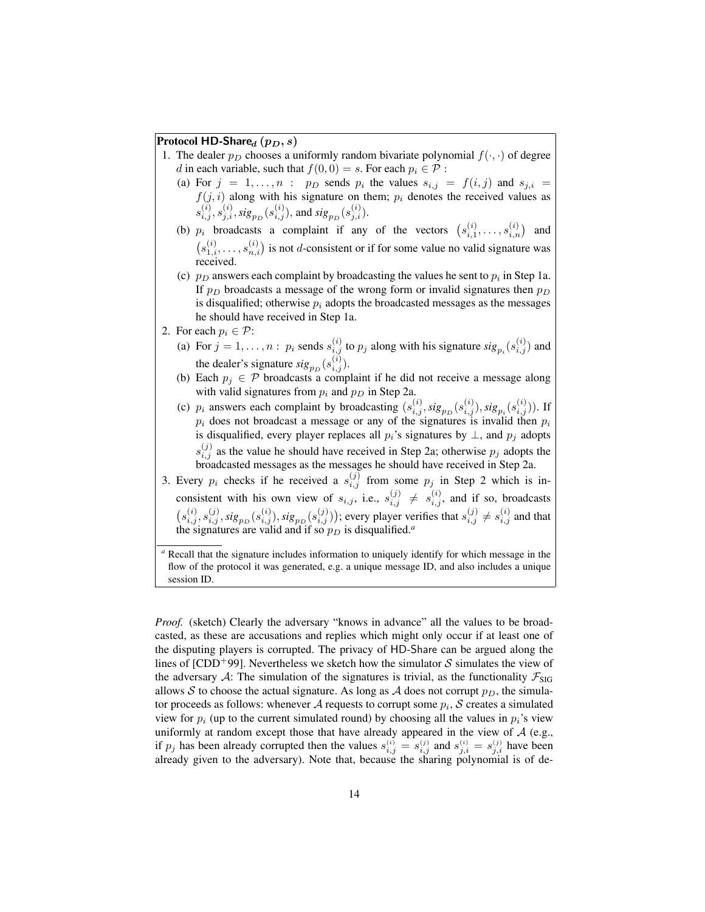## Protocol HD-Share<sub>d</sub>  $(p_D, s)$

- 1. The dealer  $p_D$  chooses a uniformly random bivariate polynomial  $f(\cdot, \cdot)$  of degree d in each variable, such that  $f(0, 0) = s$ . For each  $p_i \in \mathcal{P}$ :
	- (a) For  $j = 1, \ldots, n$  :  $p_D$  sends  $p_i$  the values  $s_{i,j} = f(i,j)$  and  $s_{j,i} =$  $f(j, i)$  along with his signature on them;  $p_i$  denotes the received values as  $s_{i,j}^{(i)}, s_{j,i}^{(i)}, sig_{p_D}(s_{i,j}^{(i)}),$  and  $sig_{p_D}(s_{j,i}^{(i)}).$
	- (b)  $p_i$  broadcasts a complaint if any of the vectors  $(s_{i,1}^{(i)},...,s_{i,n}^{(i)})$  and  $(s_{1,i}^{(i)}, \ldots, s_{n,i}^{(i)})$  is not *d*-consistent or if for some value no valid signature was received.
	- (c)  $p_D$  answers each complaint by broadcasting the values he sent to  $p_i$  in Step 1a. If  $p_D$  broadcasts a message of the wrong form or invalid signatures then  $p_D$ is disqualified; otherwise  $p_i$  adopts the broadcasted messages as the messages he should have received in Step 1a.
- 2. For each  $p_i \in \mathcal{P}$ :
	- (a) For  $j = 1, ..., n$ :  $p_i$  sends  $s_{i,j}^{(i)}$  to  $p_j$  along with his signature  $sig_{p_i}(s_{i,j}^{(i)})$  and the dealer's signature  $sig_{p_D}(s_{i,j}^{(i)})$ .
	- (b) Each  $p_i \in \mathcal{P}$  broadcasts a complaint if he did not receive a message along with valid signatures from  $p_i$  and  $p_D$  in Step 2a.
	- (c)  $p_i$  answers each complaint by broadcasting  $(s_{i,j}^{(i)}, sig_{p_D}(s_{i,j}^{(i)}), sig_{p_i}(s_{i,j}^{(i)}))$ . If  $p_i$  does not broadcast a message or any of the signatures is invalid then  $p_i$ is disqualified, every player replaces all  $p_i$ 's signatures by  $\perp$ , and  $p_j$  adopts  $s_{i,j}^{(j)}$  as the value he should have received in Step 2a; otherwise  $p_j$  adopts the broadcasted messages as the messages he should have received in Step 2a.
- 3. Every  $p_i$  checks if he received a  $s_{i,j}^{(j)}$  from some  $p_j$  in Step 2 which is inconsistent with his own view of  $s_{i,j}$ , i.e.,  $s_{i,j}^{(j)} \neq s_{i,j}^{(i)}$ , and if so, broadcasts  $(s_{i,j}^{(i)}, s_{i,j}^{(j)}, sig_{p_D}(s_{i,j}^{(i)}), sig_{p_D}(s_{i,j}^{(j)}))$ ; every player verifies that  $s_{i,j}^{(j)} \neq s_{i,j}^{(i)}$  and that the signatures are valid and if so  $p_D$  is disqualified.<sup>*a*</sup>

*<sup>a</sup>* Recall that the signature includes information to uniquely identify for which message in the flow of the protocol it was generated, e.g. a unique message ID, and also includes a unique session ID.

*Proof.* (sketch) Clearly the adversary "knows in advance" all the values to be broadcasted, as these are accusations and replies which might only occur if at least one of the disputing players is corrupted. The privacy of HD-Share can be argued along the lines of  $[CDD+99]$ . Nevertheless we sketch how the simulator S simulates the view of the adversary A: The simulation of the signatures is trivial, as the functionality  $\mathcal{F}_{\text{SIG}}$ allows S to choose the actual signature. As long as A does not corrupt  $p_D$ , the simulator proceeds as follows: whenever  $\mathcal A$  requests to corrupt some  $p_i, \mathcal S$  creates a simulated view for  $p_i$  (up to the current simulated round) by choosing all the values in  $p_i$ 's view uniformly at random except those that have already appeared in the view of  $A$  (e.g., if  $p_j$  has been already corrupted then the values  $s_{i,j}^{(i)} = s_{i,j}^{(j)}$  and  $s_{j,i}^{(i)} = s_{j,i}^{(j)}$  have been already given to the adversary). Note that, because the sharing polynomial is of de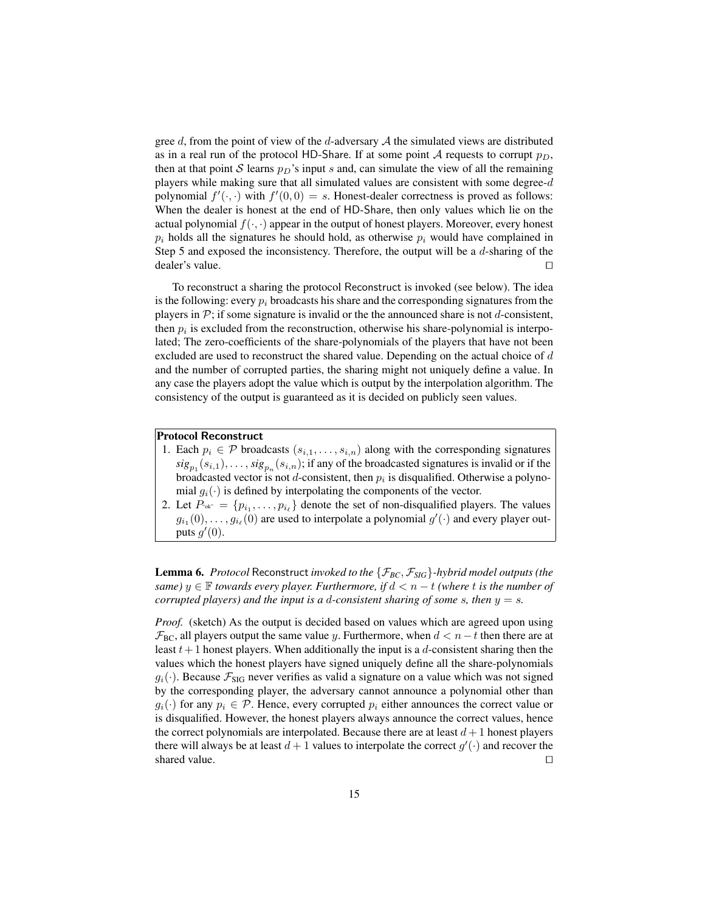gree d, from the point of view of the d-adversary  $A$  the simulated views are distributed as in a real run of the protocol HD-Share. If at some point A requests to corrupt  $p_D$ , then at that point S learns  $p_D$ 's input s and, can simulate the view of all the remaining players while making sure that all simulated values are consistent with some degree- $d$ polynomial  $f'(\cdot, \cdot)$  with  $f'(0, 0) = s$ . Honest-dealer correctness is proved as follows: When the dealer is honest at the end of HD-Share, then only values which lie on the actual polynomial  $f(\cdot, \cdot)$  appear in the output of honest players. Moreover, every honest  $p_i$  holds all the signatures he should hold, as otherwise  $p_i$  would have complained in Step 5 and exposed the inconsistency. Therefore, the output will be a d-sharing of the dealer's value.  $\Box$ 

To reconstruct a sharing the protocol Reconstruct is invoked (see below). The idea is the following: every  $p_i$  broadcasts his share and the corresponding signatures from the players in  $\mathcal{P}$ ; if some signature is invalid or the the announced share is not d-consistent, then  $p_i$  is excluded from the reconstruction, otherwise his share-polynomial is interpolated; The zero-coefficients of the share-polynomials of the players that have not been excluded are used to reconstruct the shared value. Depending on the actual choice of d and the number of corrupted parties, the sharing might not uniquely define a value. In any case the players adopt the value which is output by the interpolation algorithm. The consistency of the output is guaranteed as it is decided on publicly seen values.

# Protocol Reconstruct

- 1. Each  $p_i \in \mathcal{P}$  broadcasts  $(s_{i,1}, \ldots, s_{i,n})$  along with the corresponding signatures  $sig_{p_1}(s_{i,1}), \ldots, sig_{p_n}(s_{i,n})$ ; if any of the broadcasted signatures is invalid or if the broadcasted vector is not *d*-consistent, then  $p_i$  is disqualified. Otherwise a polynomial  $g_i(\cdot)$  is defined by interpolating the components of the vector.
- 2. Let  $P_{\text{wk}} = \{p_{i_1}, \ldots, p_{i_\ell}\}\$  denote the set of non-disqualified players. The values  $g_{i_1}(0), \ldots, g_{i_\ell}(0)$  are used to interpolate a polynomial  $g'(\cdot)$  and every player outputs  $g'(0)$ .

Lemma 6. *Protocol* Reconstruct *invoked to the* {F*BC*, F*SIG*}*-hybrid model outputs (the same*)  $y \in \mathbb{F}$  *towards every player. Furthermore, if*  $d < n - t$  *(where t is the number of corrupted players) and the input is a d-consistent sharing of some s, then*  $y = s$ *.* 

*Proof.* (sketch) As the output is decided based on values which are agreed upon using  $\mathcal{F}_{BC}$ , all players output the same value y. Furthermore, when  $d < n-t$  then there are at least  $t+1$  honest players. When additionally the input is a d-consistent sharing then the values which the honest players have signed uniquely define all the share-polynomials  $g_i(\cdot)$ . Because  $\mathcal{F}_{\text{SIG}}$  never verifies as valid a signature on a value which was not signed by the corresponding player, the adversary cannot announce a polynomial other than  $q_i(\cdot)$  for any  $p_i \in \mathcal{P}$ . Hence, every corrupted  $p_i$  either announces the correct value or is disqualified. However, the honest players always announce the correct values, hence the correct polynomials are interpolated. Because there are at least  $d+1$  honest players there will always be at least  $d+1$  values to interpolate the correct  $g'(\cdot)$  and recover the shared value.  $\Box$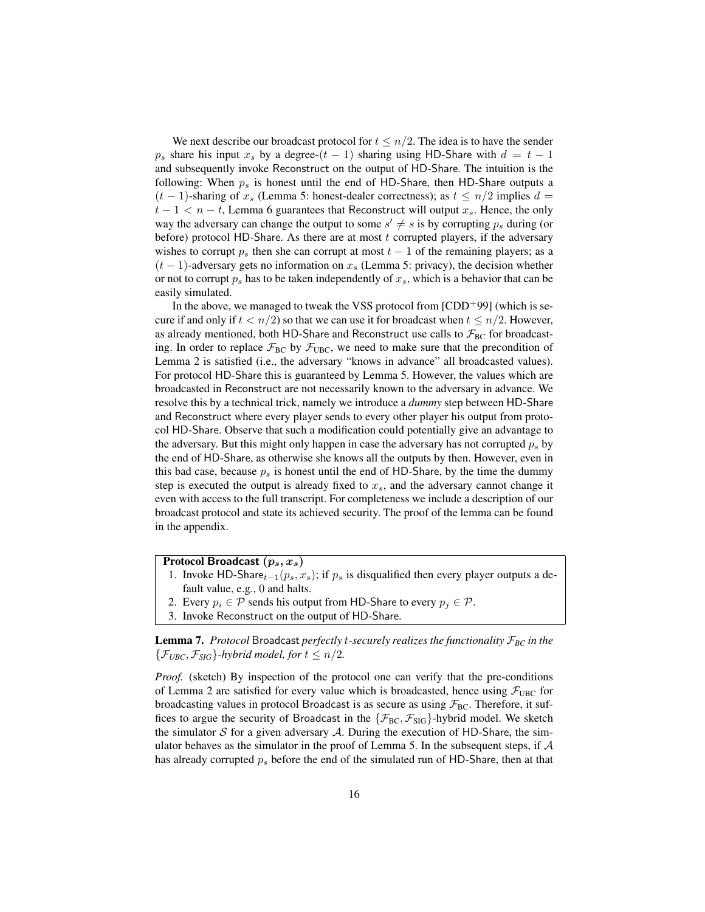We next describe our broadcast protocol for  $t \leq n/2$ . The idea is to have the sender  $p_s$  share his input  $x_s$  by a degree- $(t - 1)$  sharing using HD-Share with  $d = t - 1$ and subsequently invoke Reconstruct on the output of HD-Share. The intuition is the following: When  $p_s$  is honest until the end of HD-Share, then HD-Share outputs a  $(t-1)$ -sharing of  $x_s$  (Lemma 5: honest-dealer correctness); as  $t \leq n/2$  implies  $d =$  $t-1 < n-t$ , Lemma 6 guarantees that Reconstruct will output  $x_s$ . Hence, the only way the adversary can change the output to some  $s' \neq s$  is by corrupting  $p_s$  during (or before) protocol HD-Share. As there are at most  $t$  corrupted players, if the adversary wishes to corrupt  $p_s$  then she can corrupt at most  $t - 1$  of the remaining players; as a  $(t - 1)$ -adversary gets no information on  $x_s$  (Lemma 5: privacy), the decision whether or not to corrupt  $p_s$  has to be taken independently of  $x_s$ , which is a behavior that can be easily simulated.

In the above, we managed to tweak the VSS protocol from  $[CDD<sup>+</sup>99]$  (which is secure if and only if  $t < n/2$ ) so that we can use it for broadcast when  $t \leq n/2$ . However, as already mentioned, both HD-Share and Reconstruct use calls to  $\mathcal{F}_{BC}$  for broadcasting. In order to replace  $\mathcal{F}_{BC}$  by  $\mathcal{F}_{UBC}$ , we need to make sure that the precondition of Lemma 2 is satisfied (i.e., the adversary "knows in advance" all broadcasted values). For protocol HD-Share this is guaranteed by Lemma 5. However, the values which are broadcasted in Reconstruct are not necessarily known to the adversary in advance. We resolve this by a technical trick, namely we introduce a *dummy* step between HD-Share and Reconstruct where every player sends to every other player his output from protocol HD-Share. Observe that such a modification could potentially give an advantage to the adversary. But this might only happen in case the adversary has not corrupted  $p_s$  by the end of HD-Share, as otherwise she knows all the outputs by then. However, even in this bad case, because  $p_s$  is honest until the end of HD-Share, by the time the dummy step is executed the output is already fixed to  $x<sub>s</sub>$ , and the adversary cannot change it even with access to the full transcript. For completeness we include a description of our broadcast protocol and state its achieved security. The proof of the lemma can be found in the appendix.

## Protocol Broadcast  $(p_s, x_s)$

- 1. Invoke HD-Share $t_{-1}(p_s, x_s)$ ; if  $p_s$  is disqualified then every player outputs a default value, e.g., 0 and halts.
- 2. Every  $p_i \in \mathcal{P}$  sends his output from HD-Share to every  $p_i \in \mathcal{P}$ .
- 3. Invoke Reconstruct on the output of HD-Share.

**Lemma 7.** Protocol Broadcast *perfectly t-securely realizes the functionality*  $\mathcal{F}_{BC}$  *in the*  $\{\mathcal{F}_{UBC}, \mathcal{F}_{SIG}\}\text{-hybrid model, for } t \leq n/2.$ 

*Proof.* (sketch) By inspection of the protocol one can verify that the pre-conditions of Lemma 2 are satisfied for every value which is broadcasted, hence using  $\mathcal{F}_{UBC}$  for broadcasting values in protocol Broadcast is as secure as using  $\mathcal{F}_{BC}$ . Therefore, it suffices to argue the security of Broadcast in the  $\{F_{BC}, F_{SIG}\}\$ -hybrid model. We sketch the simulator S for a given adversary A. During the execution of HD-Share, the simulator behaves as the simulator in the proof of Lemma 5. In the subsequent steps, if  $A$ has already corrupted  $p_s$  before the end of the simulated run of HD-Share, then at that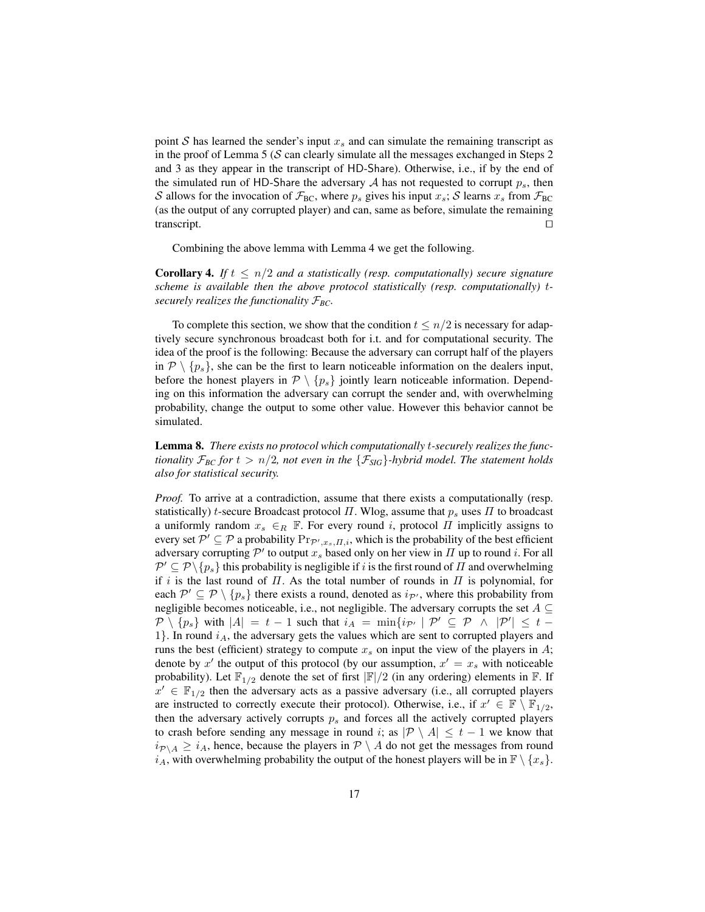point S has learned the sender's input  $x_s$  and can simulate the remaining transcript as in the proof of Lemma 5 ( $\mathcal S$  can clearly simulate all the messages exchanged in Steps 2 and 3 as they appear in the transcript of HD-Share). Otherwise, i.e., if by the end of the simulated run of HD-Share the adversary  $A$  has not requested to corrupt  $p_s$ , then S allows for the invocation of  $\mathcal{F}_{BC}$ , where  $p_s$  gives his input  $x_s$ ; S learns  $x_s$  from  $\mathcal{F}_{BC}$ (as the output of any corrupted player) and can, same as before, simulate the remaining transcript.  $\square$ 

Combining the above lemma with Lemma 4 we get the following.

**Corollary 4.** *If*  $t \leq n/2$  *and a statistically (resp. computationally) secure signature scheme is available then the above protocol statistically (resp. computationally)* t*securely realizes the functionality*  $\mathcal{F}_{BC}$ *.* 

To complete this section, we show that the condition  $t \leq n/2$  is necessary for adaptively secure synchronous broadcast both for i.t. and for computational security. The idea of the proof is the following: Because the adversary can corrupt half of the players in  $P \setminus \{p_s\}$ , she can be the first to learn noticeable information on the dealers input, before the honest players in  $\mathcal{P} \setminus \{p_s\}$  jointly learn noticeable information. Depending on this information the adversary can corrupt the sender and, with overwhelming probability, change the output to some other value. However this behavior cannot be simulated.

Lemma 8. *There exists no protocol which computationally* t*-securely realizes the functionality*  $\mathcal{F}_{BC}$  *for*  $t > n/2$ *, not even in the*  $\{\mathcal{F}_{SIG}\}\text{-}\textit{hybrid model}$ *. The statement holds also for statistical security.*

*Proof.* To arrive at a contradiction, assume that there exists a computationally (resp. statistically) t-secure Broadcast protocol  $\Pi$ . Wlog, assume that  $p_s$  uses  $\Pi$  to broadcast a uniformly random  $x_s \in_R \mathbb{F}$ . For every round i, protocol  $\Pi$  implicitly assigns to every set  $\mathcal{P}' \subseteq \mathcal{P}$  a probability  $Pr_{\mathcal{P}',x_s,\Pi,i}$ , which is the probability of the best efficient adversary corrupting  $\mathcal{P}'$  to output  $x_s$  based only on her view in  $\Pi$  up to round i. For all  $\mathcal{P}' \subseteq \mathcal{P} \setminus \{p_s\}$  this probability is negligible if i is the first round of  $\Pi$  and overwhelming if i is the last round of  $\Pi$ . As the total number of rounds in  $\Pi$  is polynomial, for each  $\mathcal{P}' \subseteq \mathcal{P} \setminus \{p_s\}$  there exists a round, denoted as  $i_{\mathcal{P}'}$ , where this probability from negligible becomes noticeable, i.e., not negligible. The adversary corrupts the set  $A \subseteq$  $\mathcal{P} \setminus \{p_s\}$  with  $|A| = t - 1$  such that  $i_A = \min\{i_{\mathcal{P}'} \mid \mathcal{P}' \subseteq \mathcal{P} \land |\mathcal{P}'| \leq t - 1\}$ 1}. In round  $i_A$ , the adversary gets the values which are sent to corrupted players and runs the best (efficient) strategy to compute  $x<sub>s</sub>$  on input the view of the players in A; denote by x' the output of this protocol (by our assumption,  $x' = x_s$  with noticeable probability). Let  $\mathbb{F}_{1/2}$  denote the set of first  $|\mathbb{F}|/2$  (in any ordering) elements in  $\mathbb{F}$ . If  $x' \in \mathbb{F}_{1/2}$  then the adversary acts as a passive adversary (i.e., all corrupted players are instructed to correctly execute their protocol). Otherwise, i.e., if  $x' \in \mathbb{F} \setminus \mathbb{F}_{1/2}$ , then the adversary actively corrupts  $p_s$  and forces all the actively corrupted players to crash before sending any message in round i; as  $|\mathcal{P} \setminus A| \leq t - 1$  we know that  $i_{P\setminus A} \ge i_A$ , hence, because the players in  $P \setminus A$  do not get the messages from round  $i_A$ , with overwhelming probability the output of the honest players will be in  $\mathbb{F} \setminus \{x_s\}$ .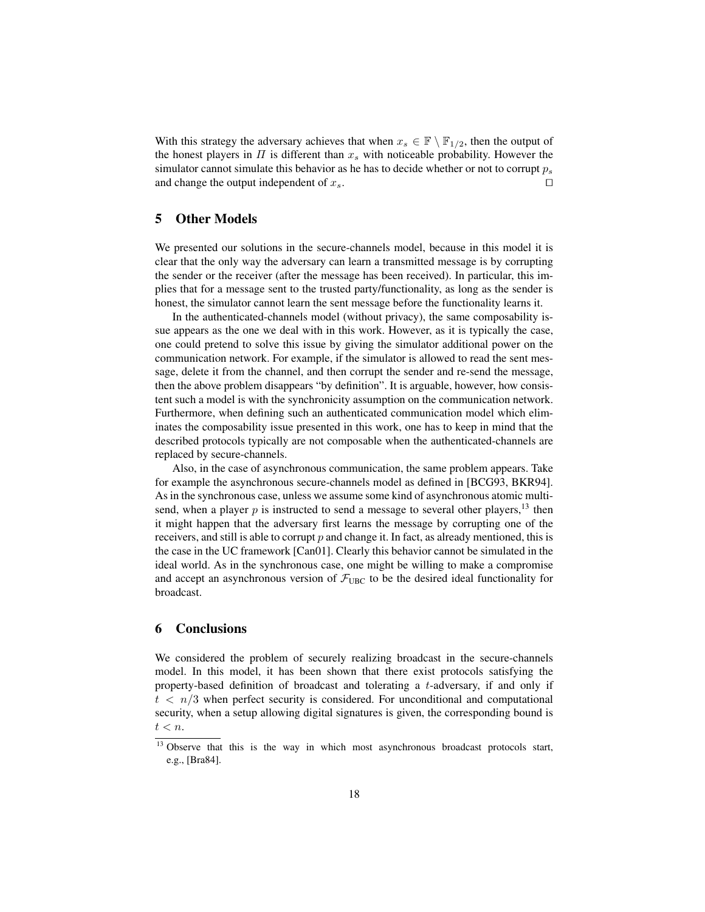With this strategy the adversary achieves that when  $x_s \in \mathbb{F} \setminus \mathbb{F}_{1/2}$ , then the output of the honest players in  $\Pi$  is different than  $x_s$  with noticeable probability. However the simulator cannot simulate this behavior as he has to decide whether or not to corrupt  $p_s$ and change the output independent of  $x_s$ .

# 5 Other Models

We presented our solutions in the secure-channels model, because in this model it is clear that the only way the adversary can learn a transmitted message is by corrupting the sender or the receiver (after the message has been received). In particular, this implies that for a message sent to the trusted party/functionality, as long as the sender is honest, the simulator cannot learn the sent message before the functionality learns it.

In the authenticated-channels model (without privacy), the same composability issue appears as the one we deal with in this work. However, as it is typically the case, one could pretend to solve this issue by giving the simulator additional power on the communication network. For example, if the simulator is allowed to read the sent message, delete it from the channel, and then corrupt the sender and re-send the message, then the above problem disappears "by definition". It is arguable, however, how consistent such a model is with the synchronicity assumption on the communication network. Furthermore, when defining such an authenticated communication model which eliminates the composability issue presented in this work, one has to keep in mind that the described protocols typically are not composable when the authenticated-channels are replaced by secure-channels.

Also, in the case of asynchronous communication, the same problem appears. Take for example the asynchronous secure-channels model as defined in [BCG93, BKR94]. As in the synchronous case, unless we assume some kind of asynchronous atomic multisend, when a player  $p$  is instructed to send a message to several other players,<sup>13</sup> then it might happen that the adversary first learns the message by corrupting one of the receivers, and still is able to corrupt p and change it. In fact, as already mentioned, this is the case in the UC framework [Can01]. Clearly this behavior cannot be simulated in the ideal world. As in the synchronous case, one might be willing to make a compromise and accept an asynchronous version of  $\mathcal{F}_{UBC}$  to be the desired ideal functionality for broadcast.

## 6 Conclusions

We considered the problem of securely realizing broadcast in the secure-channels model. In this model, it has been shown that there exist protocols satisfying the property-based definition of broadcast and tolerating a t-adversary, if and only if  $t < n/3$  when perfect security is considered. For unconditional and computational security, when a setup allowing digital signatures is given, the corresponding bound is  $t < n$ .

<sup>&</sup>lt;sup>13</sup> Observe that this is the way in which most asynchronous broadcast protocols start, e.g., [Bra84].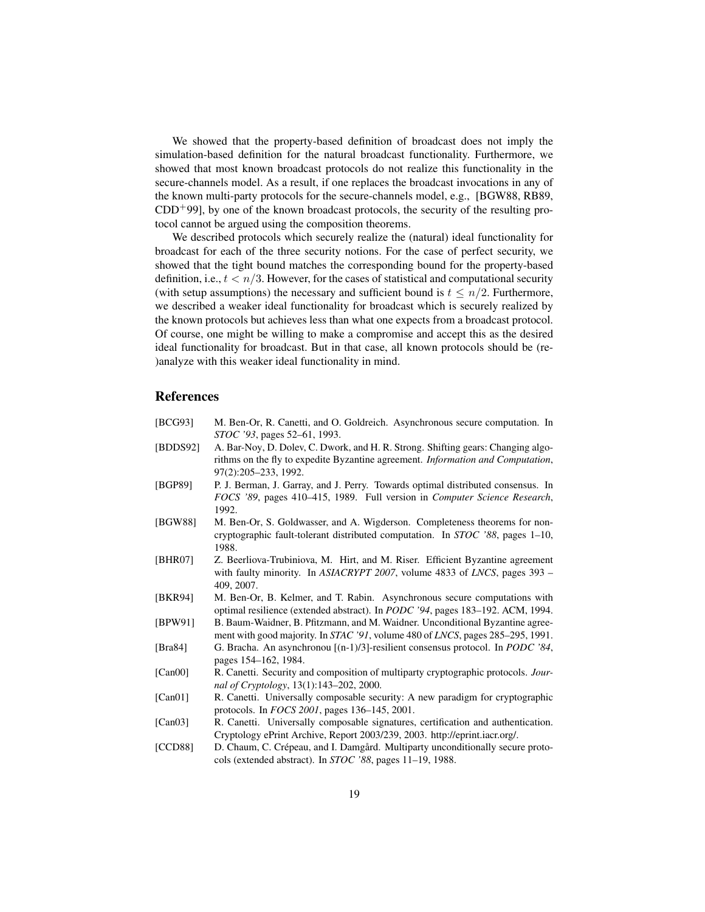We showed that the property-based definition of broadcast does not imply the simulation-based definition for the natural broadcast functionality. Furthermore, we showed that most known broadcast protocols do not realize this functionality in the secure-channels model. As a result, if one replaces the broadcast invocations in any of the known multi-party protocols for the secure-channels model, e.g., [BGW88, RB89,  $CDD+99$ ], by one of the known broadcast protocols, the security of the resulting protocol cannot be argued using the composition theorems.

We described protocols which securely realize the (natural) ideal functionality for broadcast for each of the three security notions. For the case of perfect security, we showed that the tight bound matches the corresponding bound for the property-based definition, i.e.,  $t < n/3$ . However, for the cases of statistical and computational security (with setup assumptions) the necessary and sufficient bound is  $t \leq n/2$ . Furthermore, we described a weaker ideal functionality for broadcast which is securely realized by the known protocols but achieves less than what one expects from a broadcast protocol. Of course, one might be willing to make a compromise and accept this as the desired ideal functionality for broadcast. But in that case, all known protocols should be (re- )analyze with this weaker ideal functionality in mind.

# References

- [BCG93] M. Ben-Or, R. Canetti, and O. Goldreich. Asynchronous secure computation. In *STOC '93*, pages 52–61, 1993.
- [BDDS92] A. Bar-Noy, D. Dolev, C. Dwork, and H. R. Strong. Shifting gears: Changing algorithms on the fly to expedite Byzantine agreement. *Information and Computation*, 97(2):205–233, 1992.
- [BGP89] P. J. Berman, J. Garray, and J. Perry. Towards optimal distributed consensus. In *FOCS '89*, pages 410–415, 1989. Full version in *Computer Science Research*, 1992.
- [BGW88] M. Ben-Or, S. Goldwasser, and A. Wigderson. Completeness theorems for noncryptographic fault-tolerant distributed computation. In *STOC '88*, pages 1–10, 1988.
- [BHR07] Z. Beerliova-Trubiniova, M. Hirt, and M. Riser. Efficient Byzantine agreement with faulty minority. In *ASIACRYPT 2007*, volume 4833 of *LNCS*, pages 393 – 409, 2007.
- [BKR94] M. Ben-Or, B. Kelmer, and T. Rabin. Asynchronous secure computations with optimal resilience (extended abstract). In *PODC '94*, pages 183–192. ACM, 1994.
- [BPW91] B. Baum-Waidner, B. Pfitzmann, and M. Waidner. Unconditional Byzantine agreement with good majority. In *STAC '91*, volume 480 of *LNCS*, pages 285–295, 1991.
- [Bra84] G. Bracha. An asynchronou [(n-1)/3]-resilient consensus protocol. In *PODC '84*, pages 154–162, 1984.
- [Can00] R. Canetti. Security and composition of multiparty cryptographic protocols. *Journal of Cryptology*, 13(1):143–202, 2000.
- [Can01] R. Canetti. Universally composable security: A new paradigm for cryptographic protocols. In *FOCS 2001*, pages 136–145, 2001.
- [Can03] R. Canetti. Universally composable signatures, certification and authentication. Cryptology ePrint Archive, Report 2003/239, 2003. http://eprint.iacr.org/.
- [CCD88] D. Chaum, C. Crépeau, and I. Damgård. Multiparty unconditionally secure protocols (extended abstract). In *STOC '88*, pages 11–19, 1988.